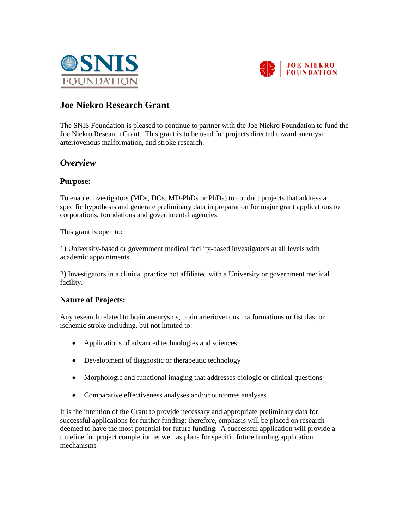



# **Joe Niekro Research Grant**

The SNIS Foundation is pleased to continue to partner with the Joe Niekro Foundation to fund the Joe Niekro Research Grant. This grant is to be used for projects directed toward aneurysm, arteriovenous malformation, and stroke research.

# *Overview*

## **Purpose:**

To enable investigators (MDs, DOs, MD-PhDs or PhDs) to conduct projects that address a specific hypothesis and generate preliminary data in preparation for major grant applications to corporations, foundations and governmental agencies.

This grant is open to:

1) University-based or government medical facility-based investigators at all levels with academic appointments.

2) Investigators in a clinical practice not affiliated with a University or government medical facility.

#### **Nature of Projects:**

Any research related to brain aneurysms, brain arteriovenous malformations or fistulas, or ischemic stroke including, but not limited to:

- Applications of advanced technologies and sciences
- Development of diagnostic or therapeutic technology
- Morphologic and functional imaging that addresses biologic or clinical questions
- Comparative effectiveness analyses and/or outcomes analyses

It is the intention of the Grant to provide necessary and appropriate preliminary data for successful applications for further funding; therefore, emphasis will be placed on research deemed to have the most potential for future funding. A successful application will provide a timeline for project completion as well as plans for specific future funding application mechanisms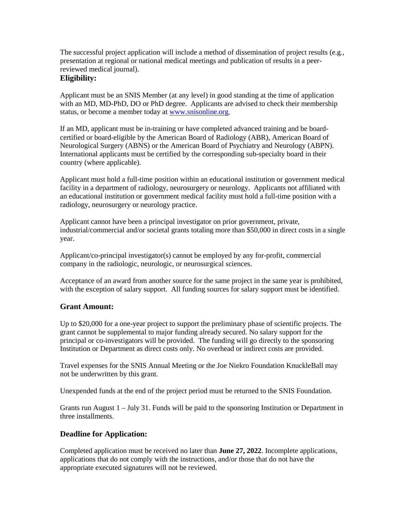The successful project application will include a method of dissemination of project results (e.g., presentation at regional or national medical meetings and publication of results in a peerreviewed medical journal).

# **Eligibility:**

Applicant must be an SNIS Member (at any level) in good standing at the time of application with an MD, MD-PhD, DO or PhD degree. Applicants are advised to check their membership status, or become a member today a[t www.snisonline.org.](http://www.snisonline.org/)

If an MD, applicant must be in-training or have completed advanced training and be boardcertified or board-eligible by the American Board of Radiology (ABR), American Board of Neurological Surgery (ABNS) or the American Board of Psychiatry and Neurology (ABPN). International applicants must be certified by the corresponding sub-specialty board in their country (where applicable).

Applicant must hold a full-time position within an educational institution or government medical facility in a department of radiology, neurosurgery or neurology. Applicants not affiliated with an educational institution or government medical facility must hold a full-time position with a radiology, neurosurgery or neurology practice.

Applicant cannot have been a principal investigator on prior government, private, industrial/commercial and/or societal grants totaling more than \$50,000 in direct costs in a single year.

Applicant/co-principal investigator(s) cannot be employed by any for-profit, commercial company in the radiologic, neurologic, or neurosurgical sciences.

Acceptance of an award from another source for the same project in the same year is prohibited, with the exception of salary support. All funding sources for salary support must be identified.

# **Grant Amount:**

Up to \$20,000 for a one-year project to support the preliminary phase of scientific projects. The grant cannot be supplemental to major funding already secured. No salary support for the principal or co-investigators will be provided. The funding will go directly to the sponsoring Institution or Department as direct costs only. No overhead or indirect costs are provided.

Travel expenses for the SNIS Annual Meeting or the Joe Niekro Foundation KnuckleBall may not be underwritten by this grant.

Unexpended funds at the end of the project period must be returned to the SNIS Foundation.

Grants run August 1 – July 31. Funds will be paid to the sponsoring Institution or Department in three installments.

# **Deadline for Application:**

Completed application must be received no later than **June 27, 2022**. Incomplete applications, applications that do not comply with the instructions, and/or those that do not have the appropriate executed signatures will not be reviewed.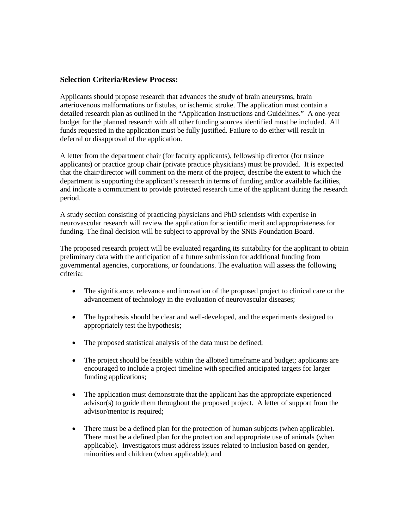## **Selection Criteria/Review Process:**

Applicants should propose research that advances the study of brain aneurysms, brain arteriovenous malformations or fistulas, or ischemic stroke. The application must contain a detailed research plan as outlined in the "Application Instructions and Guidelines." A one-year budget for the planned research with all other funding sources identified must be included. All funds requested in the application must be fully justified. Failure to do either will result in deferral or disapproval of the application.

A letter from the department chair (for faculty applicants), fellowship director (for trainee applicants) or practice group chair (private practice physicians) must be provided. It is expected that the chair/director will comment on the merit of the project, describe the extent to which the department is supporting the applicant's research in terms of funding and/or available facilities, and indicate a commitment to provide protected research time of the applicant during the research period.

A study section consisting of practicing physicians and PhD scientists with expertise in neurovascular research will review the application for scientific merit and appropriateness for funding. The final decision will be subject to approval by the SNIS Foundation Board.

The proposed research project will be evaluated regarding its suitability for the applicant to obtain preliminary data with the anticipation of a future submission for additional funding from governmental agencies, corporations, or foundations. The evaluation will assess the following criteria:

- The significance, relevance and innovation of the proposed project to clinical care or the advancement of technology in the evaluation of neurovascular diseases;
- The hypothesis should be clear and well-developed, and the experiments designed to appropriately test the hypothesis;
- The proposed statistical analysis of the data must be defined;
- The project should be feasible within the allotted timeframe and budget; applicants are encouraged to include a project timeline with specified anticipated targets for larger funding applications;
- The application must demonstrate that the applicant has the appropriate experienced advisor(s) to guide them throughout the proposed project. A letter of support from the advisor/mentor is required;
- There must be a defined plan for the protection of human subjects (when applicable). There must be a defined plan for the protection and appropriate use of animals (when applicable). Investigators must address issues related to inclusion based on gender, minorities and children (when applicable); and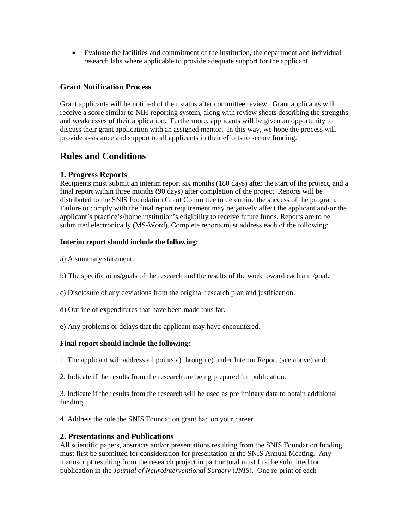• Evaluate the facilities and commitment of the institution, the department and individual research labs where applicable to provide adequate support for the applicant.

# **Grant Notification Process**

Grant applicants will be notified of their status after committee review. Grant applicants will receive a score similar to NIH-reporting system, along with review sheets describing the strengths and weaknesses of their application. Furthermore, applicants will be given an opportunity to discuss their grant application with an assigned mentor. In this way, we hope the process will provide assistance and support to all applicants in their efforts to secure funding.

# **Rules and Conditions**

# **1. Progress Reports**

Recipients must submit an interim report six months (180 days) after the start of the project, and a final report within three months (90 days) after completion of the project. Reports will be distributed to the SNIS Foundation Grant Committee to determine the success of the program. Failure to comply with the final report requirement may negatively affect the applicant and/or the applicant's practice's/home institution's eligibility to receive future funds. Reports are to be submitted electronically (MS-Word). Complete reports must address each of the following:

# **Interim report should include the following:**

- a) A summary statement.
- b) The specific aims/goals of the research and the results of the work toward each aim/goal.
- c) Disclosure of any deviations from the original research plan and justification.
- d) Outline of expenditures that have been made thus far.
- e) Any problems or delays that the applicant may have encountered.

#### **Final report should include the following:**

- 1. The applicant will address all points a) through e) under Interim Report (see above) and:
- 2. Indicate if the results from the research are being prepared for publication.

3. Indicate if the results from the research will be used as preliminary data to obtain additional funding.

4. Address the role the SNIS Foundation grant had on your career.

# **2. Presentations and Publications**

All scientific papers, abstracts and/or presentations resulting from the SNIS Foundation funding must first be submitted for consideration for presentation at the SNIS Annual Meeting. Any manuscript resulting from the research project in part or total must first be submitted for publication in the *Journal of NeuroInterventional Surgery* (*JNIS*). One re-print of each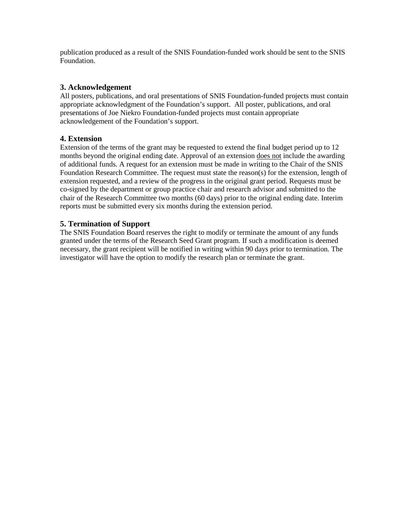publication produced as a result of the SNIS Foundation-funded work should be sent to the SNIS Foundation.

## **3. Acknowledgement**

All posters, publications, and oral presentations of SNIS Foundation-funded projects must contain appropriate acknowledgment of the Foundation's support. All poster, publications, and oral presentations of Joe Niekro Foundation-funded projects must contain appropriate acknowledgement of the Foundation's support.

## **4. Extension**

Extension of the terms of the grant may be requested to extend the final budget period up to 12 months beyond the original ending date. Approval of an extension does not include the awarding of additional funds. A request for an extension must be made in writing to the Chair of the SNIS Foundation Research Committee. The request must state the reason(s) for the extension, length of extension requested, and a review of the progress in the original grant period. Requests must be co-signed by the department or group practice chair and research advisor and submitted to the chair of the Research Committee two months (60 days) prior to the original ending date. Interim reports must be submitted every six months during the extension period.

# **5. Termination of Support**

The SNIS Foundation Board reserves the right to modify or terminate the amount of any funds granted under the terms of the Research Seed Grant program. If such a modification is deemed necessary, the grant recipient will be notified in writing within 90 days prior to termination. The investigator will have the option to modify the research plan or terminate the grant.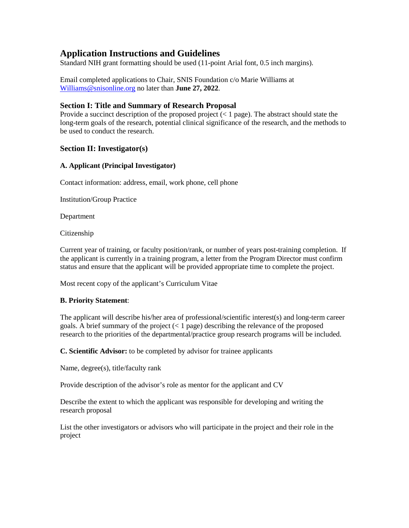# **Application Instructions and Guidelines**

Standard NIH grant formatting should be used (11-point Arial font, 0.5 inch margins).

Email completed applications to Chair, SNIS Foundation c/o Marie Williams at [Williams@snisonline.org](mailto:Williams@snisonline.org) no later than **June 27, 2022**.

#### **Section I: Title and Summary of Research Proposal**

Provide a succinct description of the proposed project (< 1 page). The abstract should state the long-term goals of the research, potential clinical significance of the research, and the methods to be used to conduct the research.

## **Section II: Investigator(s)**

#### **A. Applicant (Principal Investigator)**

Contact information: address, email, work phone, cell phone

Institution/Group Practice

Department

Citizenship

Current year of training, or faculty position/rank, or number of years post-training completion. If the applicant is currently in a training program, a letter from the Program Director must confirm status and ensure that the applicant will be provided appropriate time to complete the project.

Most recent copy of the applicant's Curriculum Vitae

#### **B. Priority Statement**:

The applicant will describe his/her area of professional/scientific interest(s) and long-term career goals. A brief summary of the project  $( $1$  page) describing the relevance of the proposed$ research to the priorities of the departmental/practice group research programs will be included.

**C. Scientific Advisor:** to be completed by advisor for trainee applicants

Name, degree(s), title/faculty rank

Provide description of the advisor's role as mentor for the applicant and CV

Describe the extent to which the applicant was responsible for developing and writing the research proposal

List the other investigators or advisors who will participate in the project and their role in the project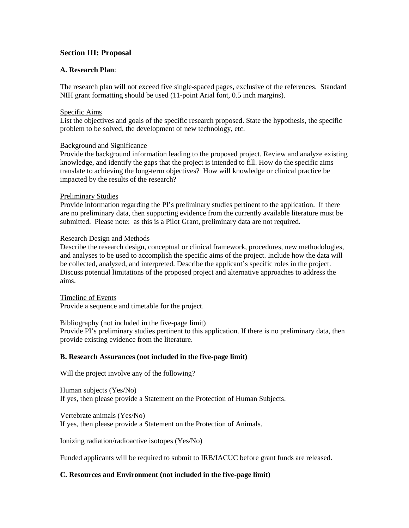# **Section III: Proposal**

### **A. Research Plan**:

The research plan will not exceed five single-spaced pages, exclusive of the references. Standard NIH grant formatting should be used (11-point Arial font, 0.5 inch margins).

#### Specific Aims

List the objectives and goals of the specific research proposed. State the hypothesis, the specific problem to be solved, the development of new technology, etc.

#### Background and Significance

Provide the background information leading to the proposed project. Review and analyze existing knowledge, and identify the gaps that the project is intended to fill. How do the specific aims translate to achieving the long-term objectives? How will knowledge or clinical practice be impacted by the results of the research?

#### Preliminary Studies

Provide information regarding the PI's preliminary studies pertinent to the application. If there are no preliminary data, then supporting evidence from the currently available literature must be submitted. Please note: as this is a Pilot Grant, preliminary data are not required.

#### Research Design and Methods

Describe the research design, conceptual or clinical framework, procedures, new methodologies, and analyses to be used to accomplish the specific aims of the project. Include how the data will be collected, analyzed, and interpreted. Describe the applicant's specific roles in the project. Discuss potential limitations of the proposed project and alternative approaches to address the aims.

Timeline of Events Provide a sequence and timetable for the project.

Bibliography (not included in the five-page limit)

Provide PI's preliminary studies pertinent to this application. If there is no preliminary data, then provide existing evidence from the literature.

#### **B. Research Assurances (not included in the five-page limit)**

Will the project involve any of the following?

Human subjects (Yes/No) If yes, then please provide a Statement on the Protection of Human Subjects.

Vertebrate animals (Yes/No) If yes, then please provide a Statement on the Protection of Animals.

Ionizing radiation/radioactive isotopes (Yes/No)

Funded applicants will be required to submit to IRB/IACUC before grant funds are released.

#### **C. Resources and Environment (not included in the five-page limit)**